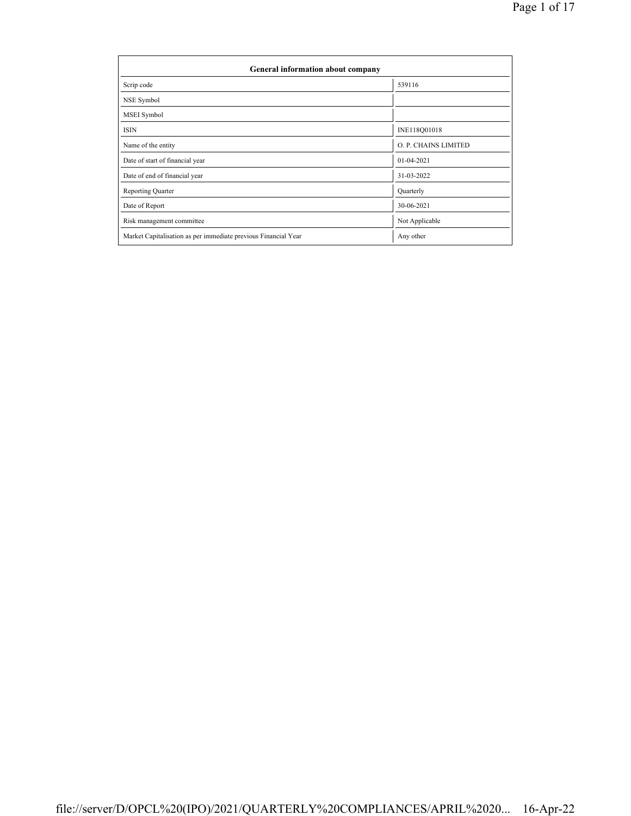| General information about company                              |                      |  |  |  |  |  |  |  |
|----------------------------------------------------------------|----------------------|--|--|--|--|--|--|--|
| Scrip code                                                     | 539116               |  |  |  |  |  |  |  |
| NSE Symbol                                                     |                      |  |  |  |  |  |  |  |
| MSEI Symbol                                                    |                      |  |  |  |  |  |  |  |
| <b>ISIN</b>                                                    | INE118Q01018         |  |  |  |  |  |  |  |
| Name of the entity                                             | O. P. CHAINS LIMITED |  |  |  |  |  |  |  |
| Date of start of financial year                                | $01 - 04 - 2021$     |  |  |  |  |  |  |  |
| Date of end of financial year                                  | 31-03-2022           |  |  |  |  |  |  |  |
| <b>Reporting Quarter</b>                                       | Quarterly            |  |  |  |  |  |  |  |
| Date of Report                                                 | 30-06-2021           |  |  |  |  |  |  |  |
| Risk management committee                                      | Not Applicable       |  |  |  |  |  |  |  |
| Market Capitalisation as per immediate previous Financial Year | Any other            |  |  |  |  |  |  |  |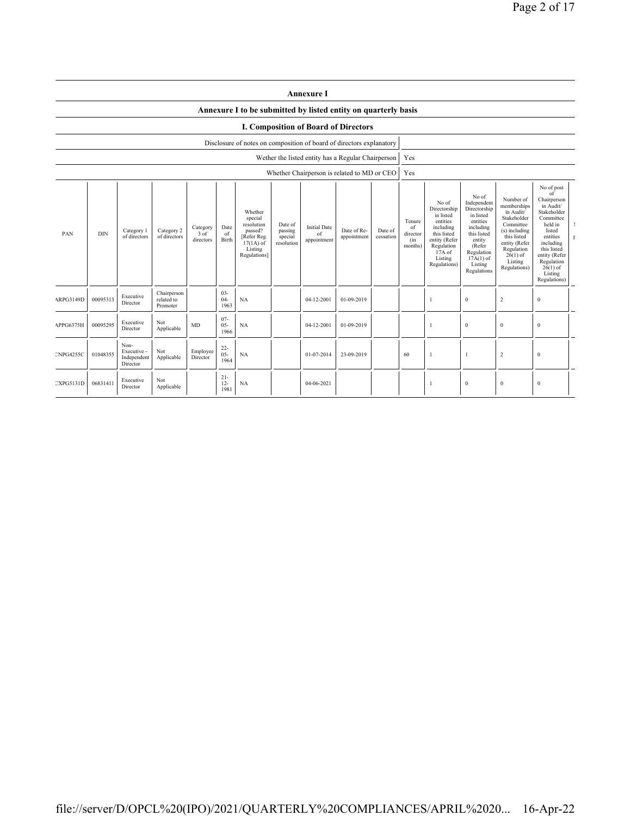|                                      | <b>Annexure I</b> |                                                |                                       |                                 |                          |                                                                                                      |                                             |                                                    |                            |                      |                                            |                                                                                                                                                |                                                                                                                                                                      |                                                                                                                                                                           |                                                                                                                                                                                                               |  |
|--------------------------------------|-------------------|------------------------------------------------|---------------------------------------|---------------------------------|--------------------------|------------------------------------------------------------------------------------------------------|---------------------------------------------|----------------------------------------------------|----------------------------|----------------------|--------------------------------------------|------------------------------------------------------------------------------------------------------------------------------------------------|----------------------------------------------------------------------------------------------------------------------------------------------------------------------|---------------------------------------------------------------------------------------------------------------------------------------------------------------------------|---------------------------------------------------------------------------------------------------------------------------------------------------------------------------------------------------------------|--|
|                                      |                   |                                                |                                       |                                 |                          | Annexure I to be submitted by listed entity on quarterly basis                                       |                                             |                                                    |                            |                      |                                            |                                                                                                                                                |                                                                                                                                                                      |                                                                                                                                                                           |                                                                                                                                                                                                               |  |
| I. Composition of Board of Directors |                   |                                                |                                       |                                 |                          |                                                                                                      |                                             |                                                    |                            |                      |                                            |                                                                                                                                                |                                                                                                                                                                      |                                                                                                                                                                           |                                                                                                                                                                                                               |  |
|                                      |                   |                                                |                                       |                                 |                          | Disclosure of notes on composition of board of directors explanatory                                 |                                             |                                                    |                            |                      |                                            |                                                                                                                                                |                                                                                                                                                                      |                                                                                                                                                                           |                                                                                                                                                                                                               |  |
|                                      |                   |                                                |                                       |                                 |                          |                                                                                                      |                                             | Wether the listed entity has a Regular Chairperson |                            |                      | Yes                                        |                                                                                                                                                |                                                                                                                                                                      |                                                                                                                                                                           |                                                                                                                                                                                                               |  |
|                                      |                   |                                                |                                       |                                 |                          |                                                                                                      |                                             | Whether Chairperson is related to MD or CEO        |                            |                      | Yes                                        |                                                                                                                                                |                                                                                                                                                                      |                                                                                                                                                                           |                                                                                                                                                                                                               |  |
| PAN                                  | <b>DIN</b>        | Category 1<br>of directors                     | Category 2<br>of directors            | Category<br>$3$ of<br>directors | Date<br>of<br>Birth      | Whether<br>special<br>resolution<br>passed?<br>[Refer Reg.<br>$17(1A)$ of<br>Listing<br>Regulations] | Date of<br>passing<br>special<br>resolution | <b>Initial Date</b><br>of<br>appointment           | Date of Re-<br>appointment | Date of<br>cessation | Tenure<br>of<br>director<br>(in<br>months) | No of<br>Directorship<br>in listed<br>entities<br>including<br>this listed<br>entity (Refer<br>Regulation<br>17A of<br>Listing<br>Regulations) | No of<br>Independent<br>Directorship<br>in listed<br>entities<br>including<br>this listed<br>entity<br>(Refer<br>Regulation<br>$17A(1)$ of<br>Listing<br>Regulations | Number of<br>memberships<br>in Audit/<br>Stakeholder<br>Committee<br>(s) including<br>this listed<br>entity (Refer<br>Regulation<br>$26(1)$ of<br>Listing<br>Regulations) | No of post<br>of<br>Chairperson<br>in Audit/<br>Stakeholder<br>Committee<br>held in<br>listed<br>entities<br>including<br>this listed<br>entity (Refer<br>Regulation<br>$26(1)$ of<br>Listing<br>Regulations) |  |
| ARPG3149D                            | 00095313          | Executive<br>Director                          | Chairperson<br>related to<br>Promoter |                                 | $03 -$<br>$04 -$<br>1963 | NA                                                                                                   |                                             | 04-12-2001                                         | 01-09-2019                 |                      |                                            | 1                                                                                                                                              | $\mathbf{0}$                                                                                                                                                         | $\overline{c}$                                                                                                                                                            | $\mathbf{0}$                                                                                                                                                                                                  |  |
| APPG6375H                            | 00095295          | Executive<br>Director                          | Not<br>Applicable                     | <b>MD</b>                       | $07 -$<br>$05 -$<br>1966 | NA                                                                                                   |                                             | 04-12-2001                                         | 01-09-2019                 |                      |                                            | 1                                                                                                                                              | $\mathbf{0}$                                                                                                                                                         | $\mathbf{0}$                                                                                                                                                              | $\mathbf{0}$                                                                                                                                                                                                  |  |
| <b>CNPG4255C</b>                     | 01048355          | Non-<br>Executive -<br>Independent<br>Director | Not<br>Applicable                     | Employee<br>Director            | $^{22}_{05}$<br>1964     | NA                                                                                                   |                                             | 01-07-2014                                         | 23-09-2019                 |                      | 60                                         | $\mathbf{1}$                                                                                                                                   |                                                                                                                                                                      | $\overline{c}$                                                                                                                                                            | $\mathbf{0}$                                                                                                                                                                                                  |  |
| <b>CXPG5131D</b>                     | 06831411          | Executive<br>Director                          | Not<br>Applicable                     |                                 | $21 -$<br>$12 -$<br>1981 | <b>NA</b>                                                                                            |                                             | 04-06-2021                                         |                            |                      |                                            | -1                                                                                                                                             | $\mathbf{0}$                                                                                                                                                         | $\mathbf{0}$                                                                                                                                                              | $\mathbf{0}$                                                                                                                                                                                                  |  |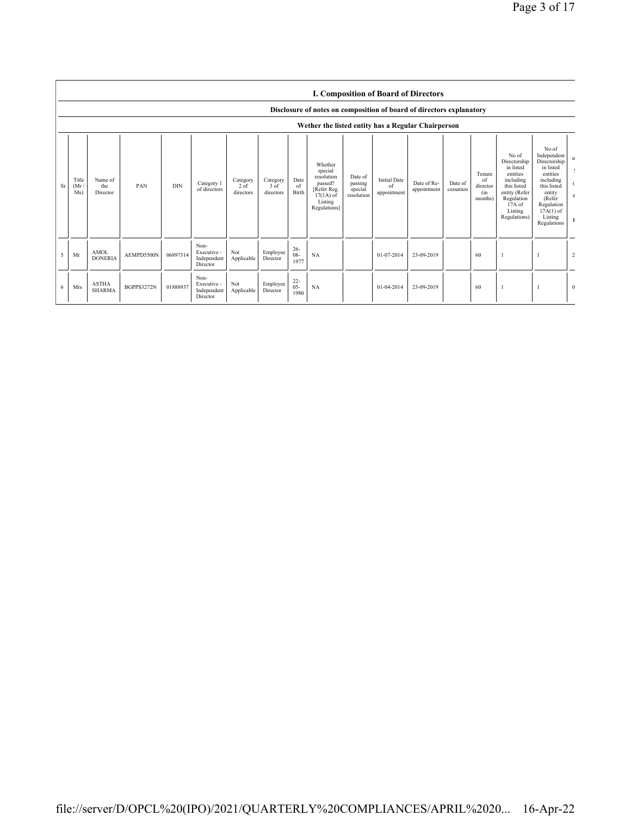|    |                                                    |                               |            |            |                                                |                                 |                               |                          | Disclosure of notes on composition of board of directors explanatory                                 |                                             | <b>I. Composition of Board of Directors</b>         |                            |                      |                                            |                                                                                                                                                |                                                                                                                                                                      |                |
|----|----------------------------------------------------|-------------------------------|------------|------------|------------------------------------------------|---------------------------------|-------------------------------|--------------------------|------------------------------------------------------------------------------------------------------|---------------------------------------------|-----------------------------------------------------|----------------------------|----------------------|--------------------------------------------|------------------------------------------------------------------------------------------------------------------------------------------------|----------------------------------------------------------------------------------------------------------------------------------------------------------------------|----------------|
|    | Wether the listed entity has a Regular Chairperson |                               |            |            |                                                |                                 |                               |                          |                                                                                                      |                                             |                                                     |                            |                      |                                            |                                                                                                                                                |                                                                                                                                                                      |                |
| Sr | Title<br>(Mr)<br>Ms)                               | Name of<br>the<br>Director    | PAN        | <b>DIN</b> | Category 1<br>of directors                     | Category<br>$2$ of<br>directors | Category<br>3 of<br>directors | Date<br>of<br>Birth      | Whether<br>special<br>resolution<br>passed?<br>[Refer Reg.<br>$17(1A)$ of<br>Listing<br>Regulations] | Date of<br>passing<br>special<br>resolution | <b>Initial Date</b><br><sup>of</sup><br>appointment | Date of Re-<br>appointment | Date of<br>cessation | Tenure<br>of<br>director<br>(in<br>months) | No of<br>Directorship<br>in listed<br>entities<br>including<br>this listed<br>entity (Refer<br>Regulation<br>17A of<br>Listing<br>Regulations) | No of<br>Independent<br>Directorship<br>in listed<br>entities<br>including<br>this listed<br>entity<br>(Refer<br>Regulation<br>$17A(1)$ of<br>Listing<br>Regulations | n              |
| 5  | Mr                                                 | <b>AMOL</b><br><b>DONERIA</b> | AEMPD5500N | 06897314   | Non-<br>Executive -<br>Independent<br>Director | Not<br>Applicable               | Employee<br>Director          | $26 -$<br>$08 -$<br>1977 | <b>NA</b>                                                                                            |                                             | 01-07-2014                                          | 23-09-2019                 |                      | 60                                         |                                                                                                                                                |                                                                                                                                                                      | $\overline{c}$ |
| 6  | <b>Mrs</b>                                         | <b>ASTHA</b><br><b>SHARMA</b> | BGPPS3272N | 01888937   | Non-<br>Executive -<br>Independent<br>Director | Not<br>Applicable               | Employee<br>Director          | $^{22}_{05}$<br>1980     | NA                                                                                                   |                                             | 01-04-2014                                          | 23-09-2019                 |                      | 60                                         |                                                                                                                                                |                                                                                                                                                                      | $\mathbf{0}$   |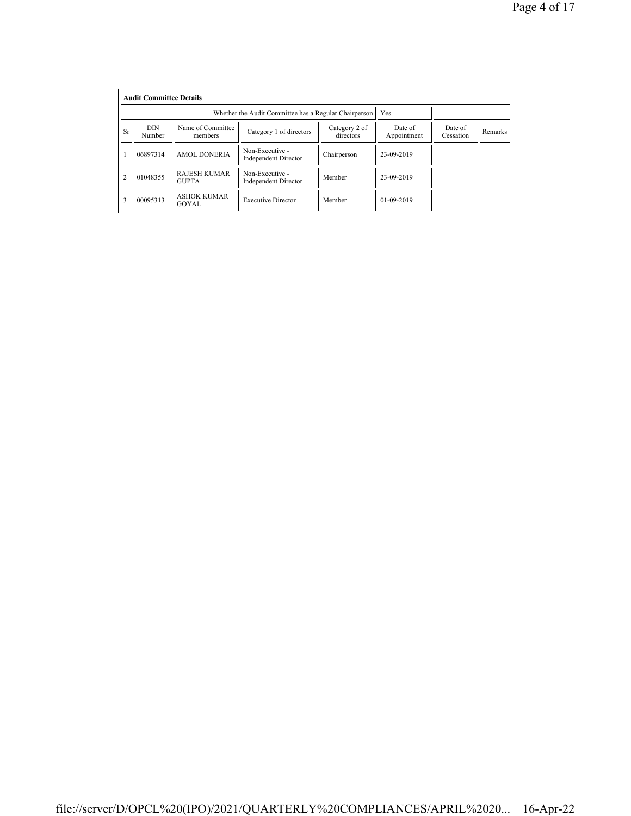|                | <b>Audit Committee Details</b> |                                     |                                                       |                            |                        |                      |         |  |  |  |  |  |
|----------------|--------------------------------|-------------------------------------|-------------------------------------------------------|----------------------------|------------------------|----------------------|---------|--|--|--|--|--|
|                |                                |                                     | Whether the Audit Committee has a Regular Chairperson | Yes                        |                        |                      |         |  |  |  |  |  |
| <b>Sr</b>      | <b>DIN</b><br>Number           | Name of Committee<br>members        | Category 1 of directors                               | Category 2 of<br>directors | Date of<br>Appointment | Date of<br>Cessation | Remarks |  |  |  |  |  |
|                | 06897314                       | <b>AMOL DONERIA</b>                 | Non-Executive -<br><b>Independent Director</b>        | Chairperson                | 23-09-2019             |                      |         |  |  |  |  |  |
| $\overline{2}$ | 01048355                       | <b>RAJESH KUMAR</b><br><b>GUPTA</b> | Non-Executive -<br><b>Independent Director</b>        | Member                     | 23-09-2019             |                      |         |  |  |  |  |  |
| 3              | 00095313                       | <b>ASHOK KUMAR</b><br>GOYAL         | <b>Executive Director</b>                             | Member                     | $01 - 09 - 2019$       |                      |         |  |  |  |  |  |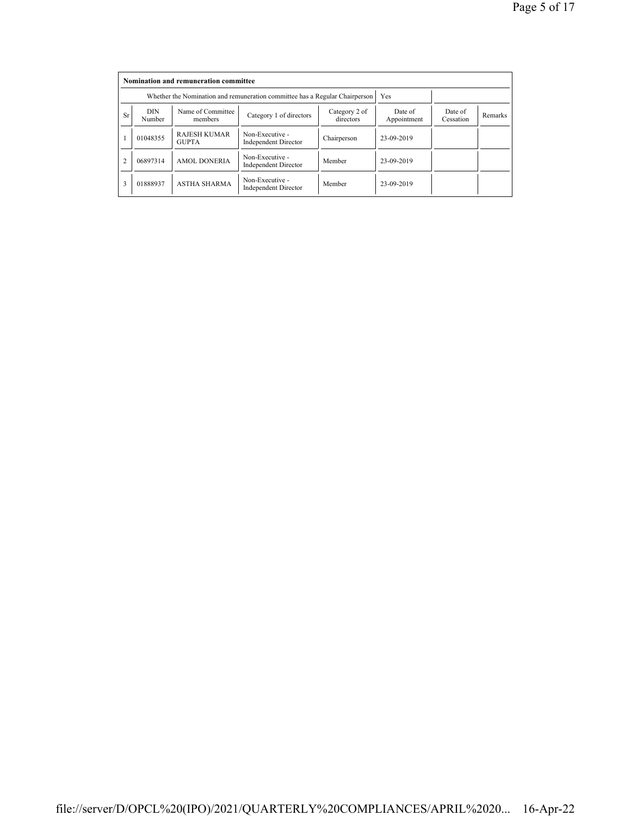|                | Nomination and remuneration committee |                                                                             |                                                |                            |                        |                      |         |  |  |  |  |
|----------------|---------------------------------------|-----------------------------------------------------------------------------|------------------------------------------------|----------------------------|------------------------|----------------------|---------|--|--|--|--|
|                |                                       | Whether the Nomination and remuneration committee has a Regular Chairperson | Yes                                            |                            |                        |                      |         |  |  |  |  |
| <b>Sr</b>      | DIN<br>Number                         | Name of Committee<br>members                                                | Category 1 of directors                        | Category 2 of<br>directors | Date of<br>Appointment | Date of<br>Cessation | Remarks |  |  |  |  |
|                | 01048355                              | <b>RAJESH KUMAR</b><br><b>GUPTA</b>                                         | Non-Executive -<br><b>Independent Director</b> | Chairperson                | 23-09-2019             |                      |         |  |  |  |  |
| $\overline{2}$ | 06897314                              | <b>AMOL DONERIA</b>                                                         | Non-Executive -<br><b>Independent Director</b> | Member                     | 23-09-2019             |                      |         |  |  |  |  |
| 3              | 01888937                              | <b>ASTHA SHARMA</b>                                                         | Non-Executive -<br><b>Independent Director</b> | Member                     | 23-09-2019             |                      |         |  |  |  |  |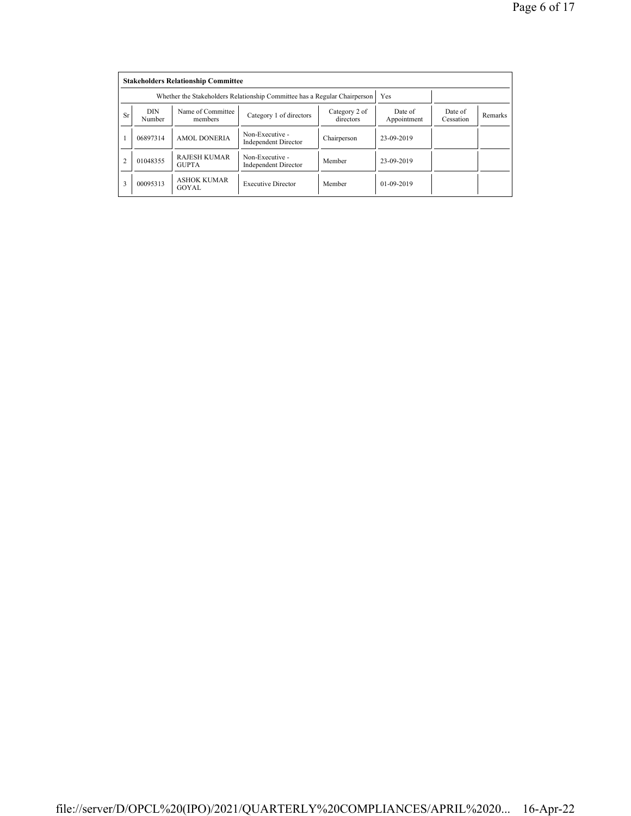|                | <b>Stakeholders Relationship Committee</b> |                                                                           |                                                |                            |                        |                      |         |  |  |  |  |  |
|----------------|--------------------------------------------|---------------------------------------------------------------------------|------------------------------------------------|----------------------------|------------------------|----------------------|---------|--|--|--|--|--|
|                |                                            | Whether the Stakeholders Relationship Committee has a Regular Chairperson |                                                | Yes                        |                        |                      |         |  |  |  |  |  |
| <b>Sr</b>      | <b>DIN</b><br>Number                       | Name of Committee<br>members                                              | Category 1 of directors                        | Category 2 of<br>directors | Date of<br>Appointment | Date of<br>Cessation | Remarks |  |  |  |  |  |
|                | 06897314                                   | <b>AMOL DONERIA</b>                                                       | Non-Executive -<br><b>Independent Director</b> | Chairperson                | 23-09-2019             |                      |         |  |  |  |  |  |
| $\overline{2}$ | 01048355                                   | <b>RAJESH KUMAR</b><br><b>GUPTA</b>                                       | Non-Executive -<br><b>Independent Director</b> | Member                     | 23-09-2019             |                      |         |  |  |  |  |  |
| 3              | 00095313                                   | <b>ASHOK KUMAR</b><br>GOYAL                                               | <b>Executive Director</b>                      | Member                     | $01-09-2019$           |                      |         |  |  |  |  |  |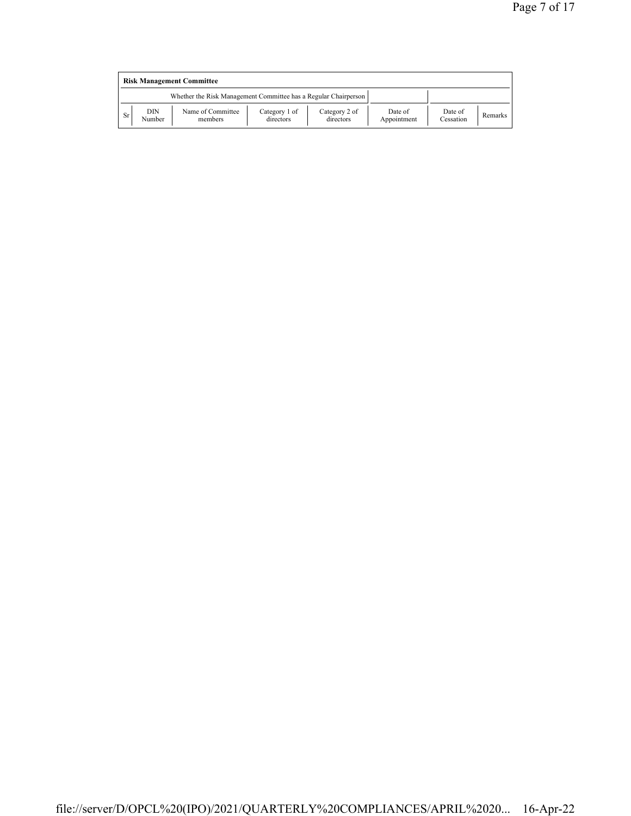|    | <b>Risk Management Committee</b> |                                                                 |                            |                            |                        |                      |         |  |  |  |  |
|----|----------------------------------|-----------------------------------------------------------------|----------------------------|----------------------------|------------------------|----------------------|---------|--|--|--|--|
|    |                                  | Whether the Risk Management Committee has a Regular Chairperson |                            |                            |                        |                      |         |  |  |  |  |
| Sr | DIN<br>Number                    | Name of Committee<br>members                                    | Category 1 of<br>directors | Category 2 of<br>directors | Date of<br>Appointment | Date of<br>Cessation | Remarks |  |  |  |  |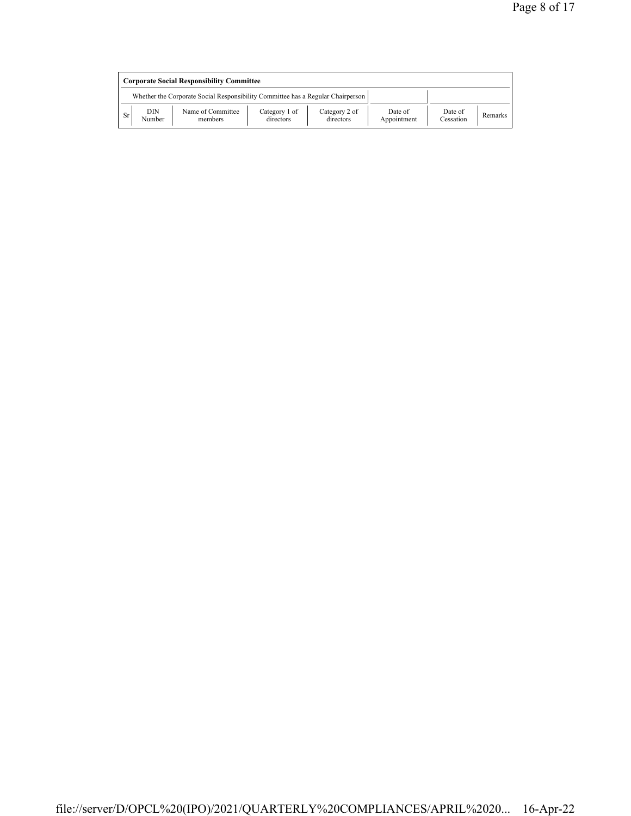|           | <b>Corporate Social Responsibility Committee</b>                                |                              |                            |                            |                        |                      |                |  |  |  |  |
|-----------|---------------------------------------------------------------------------------|------------------------------|----------------------------|----------------------------|------------------------|----------------------|----------------|--|--|--|--|
|           | Whether the Corporate Social Responsibility Committee has a Regular Chairperson |                              |                            |                            |                        |                      |                |  |  |  |  |
| <b>Sr</b> | DIN<br>Number                                                                   | Name of Committee<br>members | Category 1 of<br>directors | Category 2 of<br>directors | Date of<br>Appointment | Date of<br>Cessation | <b>Remarks</b> |  |  |  |  |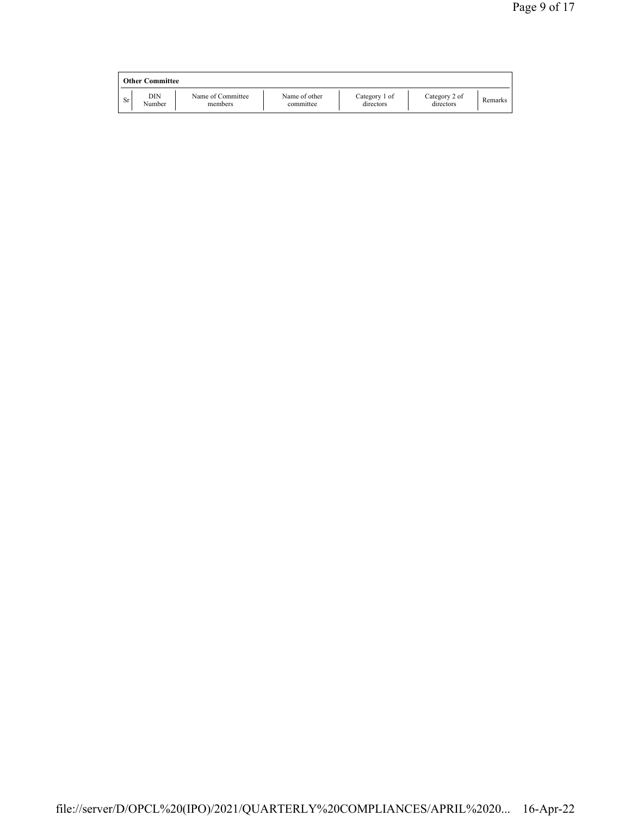|    | <b>Other Committee</b> |                              |                            |                            |                            |         |
|----|------------------------|------------------------------|----------------------------|----------------------------|----------------------------|---------|
| Sr | DIN<br>Number          | Name of Committee<br>members | Name of other<br>committee | Category 1 of<br>directors | Category 2 of<br>directors | Remarks |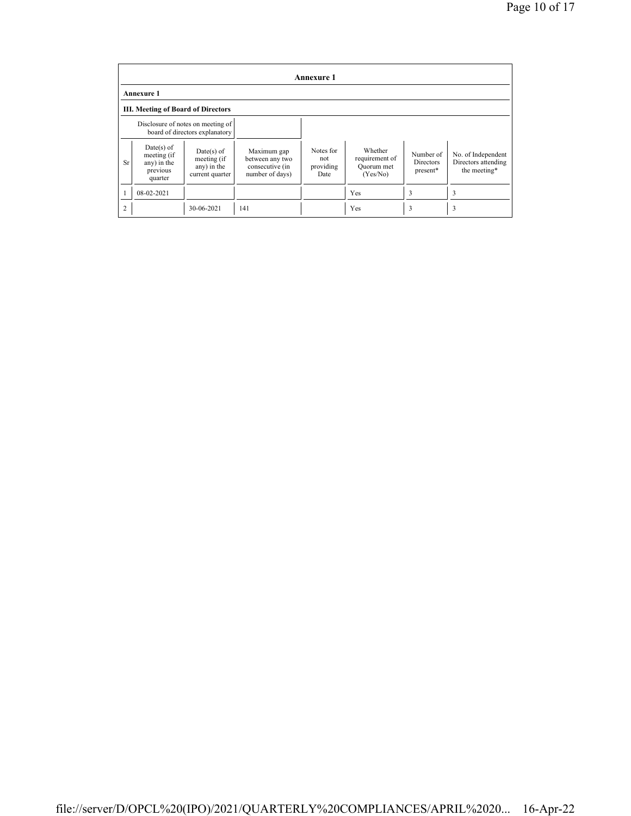|                | <b>Annexure 1</b>                                                                                                                  |            |                                                                      |                                       |                                                     |                                    |                                                           |  |  |  |  |  |
|----------------|------------------------------------------------------------------------------------------------------------------------------------|------------|----------------------------------------------------------------------|---------------------------------------|-----------------------------------------------------|------------------------------------|-----------------------------------------------------------|--|--|--|--|--|
|                | <b>Annexure 1</b>                                                                                                                  |            |                                                                      |                                       |                                                     |                                    |                                                           |  |  |  |  |  |
|                | <b>III. Meeting of Board of Directors</b>                                                                                          |            |                                                                      |                                       |                                                     |                                    |                                                           |  |  |  |  |  |
|                | Disclosure of notes on meeting of<br>board of directors explanatory                                                                |            |                                                                      |                                       |                                                     |                                    |                                                           |  |  |  |  |  |
| <b>Sr</b>      | $Date(s)$ of<br>$Date(s)$ of<br>meeting (if<br>meeting (if<br>any) in the<br>any) in the<br>previous<br>current quarter<br>quarter |            | Maximum gap<br>between any two<br>consecutive (in<br>number of days) | Notes for<br>not<br>providing<br>Date | Whether<br>requirement of<br>Quorum met<br>(Yes/No) | Number of<br>Directors<br>present* | No. of Independent<br>Directors attending<br>the meeting* |  |  |  |  |  |
|                | $08-02-2021$                                                                                                                       |            |                                                                      |                                       | Yes                                                 | 3                                  | 3                                                         |  |  |  |  |  |
| $\overline{2}$ |                                                                                                                                    | 30-06-2021 | 141                                                                  |                                       | Yes                                                 | 3                                  | 3                                                         |  |  |  |  |  |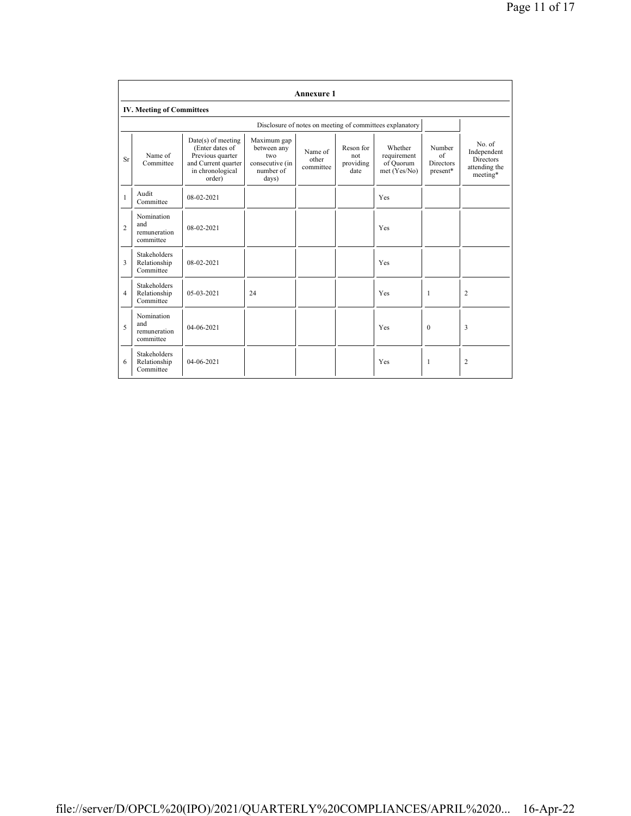|                | <b>Annexure 1</b>                                |                                                                                                                  |                                                                            |                               |                                       |                                                          |                                              |                                                                        |  |  |  |  |
|----------------|--------------------------------------------------|------------------------------------------------------------------------------------------------------------------|----------------------------------------------------------------------------|-------------------------------|---------------------------------------|----------------------------------------------------------|----------------------------------------------|------------------------------------------------------------------------|--|--|--|--|
|                | <b>IV. Meeting of Committees</b>                 |                                                                                                                  |                                                                            |                               |                                       |                                                          |                                              |                                                                        |  |  |  |  |
|                |                                                  |                                                                                                                  |                                                                            |                               |                                       | Disclosure of notes on meeting of committees explanatory |                                              |                                                                        |  |  |  |  |
| <b>Sr</b>      | Name of<br>Committee                             | $Date(s)$ of meeting<br>(Enter dates of<br>Previous quarter<br>and Current quarter<br>in chronological<br>order) | Maximum gap<br>between any<br>two<br>consecutive (in<br>number of<br>days) | Name of<br>other<br>committee | Reson for<br>not<br>providing<br>date | Whether<br>requirement<br>of Quorum<br>met (Yes/No)      | Number<br>of<br><b>Directors</b><br>present* | No. of<br>Independent<br><b>Directors</b><br>attending the<br>meeting* |  |  |  |  |
| 1              | Audit<br>Committee                               | 08-02-2021                                                                                                       |                                                                            |                               |                                       | Yes                                                      |                                              |                                                                        |  |  |  |  |
| $\overline{c}$ | Nomination<br>and<br>remuneration<br>committee   | 08-02-2021                                                                                                       |                                                                            |                               |                                       | Yes                                                      |                                              |                                                                        |  |  |  |  |
| 3              | Stakeholders<br>Relationship<br>Committee        | $08-02-2021$                                                                                                     |                                                                            |                               |                                       | Yes                                                      |                                              |                                                                        |  |  |  |  |
| $\overline{4}$ | <b>Stakeholders</b><br>Relationship<br>Committee | $05-03-2021$                                                                                                     | 24                                                                         |                               |                                       | Yes                                                      | 1                                            | $\overline{c}$                                                         |  |  |  |  |
| 5              | Nomination<br>and<br>remuneration<br>committee   | 04-06-2021                                                                                                       |                                                                            |                               |                                       | Yes                                                      | $\theta$                                     | 3                                                                      |  |  |  |  |
| 6              | <b>Stakeholders</b><br>Relationship<br>Committee | $04 - 06 - 2021$                                                                                                 |                                                                            |                               |                                       | Yes                                                      | 1                                            | $\overline{c}$                                                         |  |  |  |  |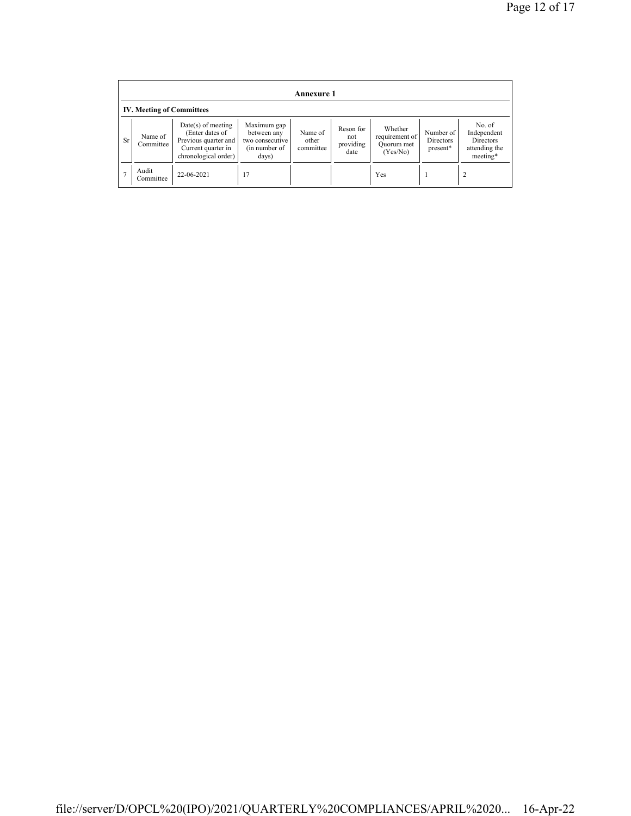|           | Annexure 1                       |                                                                                                               |                                                                         |                               |                                       |                                                     |                                    |                                                                 |  |  |  |  |
|-----------|----------------------------------|---------------------------------------------------------------------------------------------------------------|-------------------------------------------------------------------------|-------------------------------|---------------------------------------|-----------------------------------------------------|------------------------------------|-----------------------------------------------------------------|--|--|--|--|
|           | <b>IV. Meeting of Committees</b> |                                                                                                               |                                                                         |                               |                                       |                                                     |                                    |                                                                 |  |  |  |  |
| <b>Sr</b> | Name of<br>Committee             | $Date(s)$ of meeting<br>(Enter dates of<br>Previous quarter and<br>Current quarter in<br>chronological order) | Maximum gap<br>between any<br>two consecutive<br>(in number of<br>days) | Name of<br>other<br>committee | Reson for<br>not<br>providing<br>date | Whether<br>requirement of<br>Quorum met<br>(Yes/No) | Number of<br>Directors<br>present* | No. of<br>Independent<br>Directors<br>attending the<br>meeting* |  |  |  |  |
|           | Audit<br>Committee               | 22-06-2021                                                                                                    | 17                                                                      |                               |                                       | Yes                                                 |                                    |                                                                 |  |  |  |  |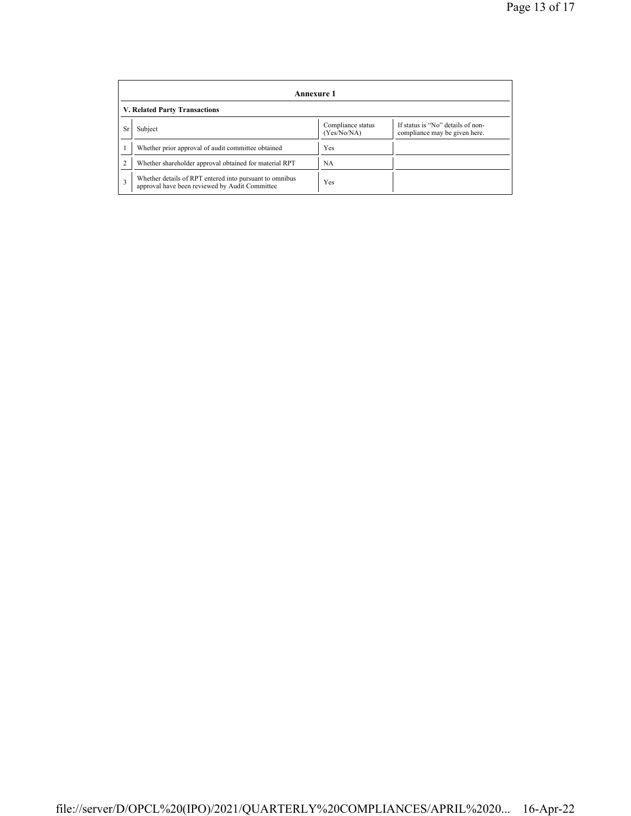| Annexure 1                    |                                                                                                           |                                  |                                                                    |  |  |  |
|-------------------------------|-----------------------------------------------------------------------------------------------------------|----------------------------------|--------------------------------------------------------------------|--|--|--|
| V. Related Party Transactions |                                                                                                           |                                  |                                                                    |  |  |  |
| <b>Sr</b>                     | Subject                                                                                                   | Compliance status<br>(Yes/No/NA) | If status is "No" details of non-<br>compliance may be given here. |  |  |  |
|                               | Whether prior approval of audit committee obtained                                                        | Yes                              |                                                                    |  |  |  |
|                               | Whether shareholder approval obtained for material RPT                                                    | NA                               |                                                                    |  |  |  |
| 3                             | Whether details of RPT entered into pursuant to omnibus<br>approval have been reviewed by Audit Committee | Yes                              |                                                                    |  |  |  |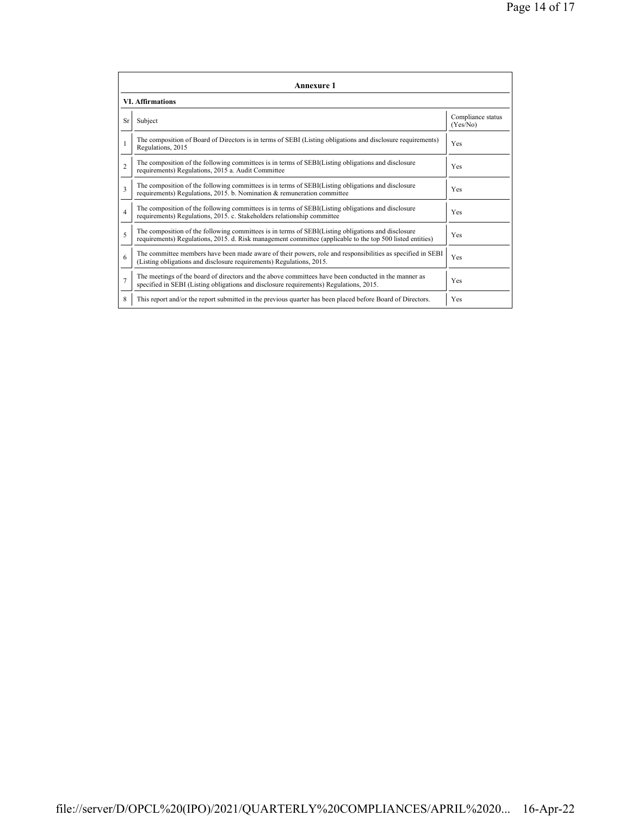|                         | <b>Annexure 1</b>                                                                                                                                                                                               |                               |  |  |  |  |  |
|-------------------------|-----------------------------------------------------------------------------------------------------------------------------------------------------------------------------------------------------------------|-------------------------------|--|--|--|--|--|
| <b>VI. Affirmations</b> |                                                                                                                                                                                                                 |                               |  |  |  |  |  |
| <b>Sr</b>               | Subject                                                                                                                                                                                                         | Compliance status<br>(Yes/No) |  |  |  |  |  |
|                         | The composition of Board of Directors is in terms of SEBI (Listing obligations and disclosure requirements)<br>Regulations, 2015                                                                                | Yes                           |  |  |  |  |  |
| $\overline{c}$          | The composition of the following committees is in terms of SEBI(Listing obligations and disclosure<br>requirements) Regulations, 2015 a. Audit Committee                                                        | <b>Yes</b>                    |  |  |  |  |  |
| 3                       | The composition of the following committees is in terms of SEBI(Listing obligations and disclosure<br>requirements) Regulations, 2015. b. Nomination & remuneration committee                                   | <b>Yes</b>                    |  |  |  |  |  |
| $\overline{4}$          | The composition of the following committees is in terms of SEBI(Listing obligations and disclosure<br>requirements) Regulations, 2015. c. Stakeholders relationship committee                                   | Yes                           |  |  |  |  |  |
| 5                       | The composition of the following committees is in terms of SEBI(Listing obligations and disclosure<br>requirements) Regulations, 2015. d. Risk management committee (applicable to the top 500 listed entities) | Yes                           |  |  |  |  |  |
| 6                       | The committee members have been made aware of their powers, role and responsibilities as specified in SEBI<br>(Listing obligations and disclosure requirements) Regulations, 2015.                              | Yes                           |  |  |  |  |  |
| $\overline{7}$          | The meetings of the board of directors and the above committees have been conducted in the manner as<br>specified in SEBI (Listing obligations and disclosure requirements) Regulations, 2015.                  | Yes                           |  |  |  |  |  |
| 8                       | This report and/or the report submitted in the previous quarter has been placed before Board of Directors.                                                                                                      | Yes                           |  |  |  |  |  |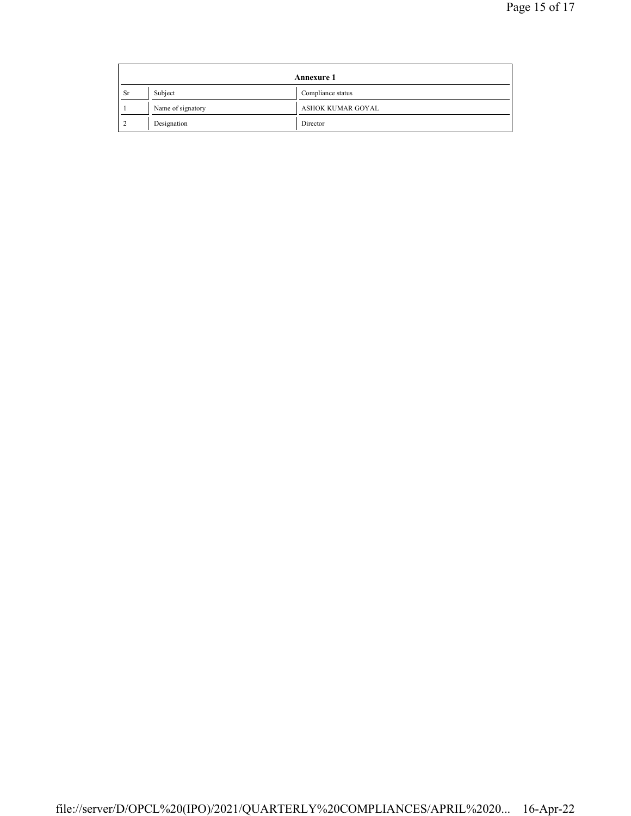| <b>Annexure 1</b> |                   |                   |
|-------------------|-------------------|-------------------|
| <b>Sr</b>         | Subject           | Compliance status |
|                   | Name of signatory | ASHOK KUMAR GOYAL |
|                   | Designation       | Director          |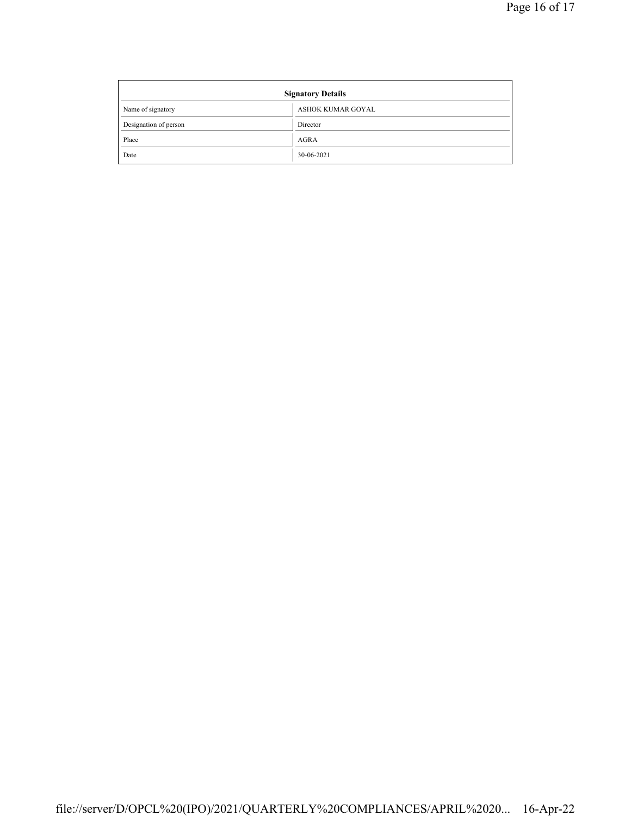| <b>Signatory Details</b> |                   |  |
|--------------------------|-------------------|--|
| Name of signatory        | ASHOK KUMAR GOYAL |  |
| Designation of person    | Director          |  |
| Place                    | AGRA              |  |
| Date                     | 30-06-2021        |  |